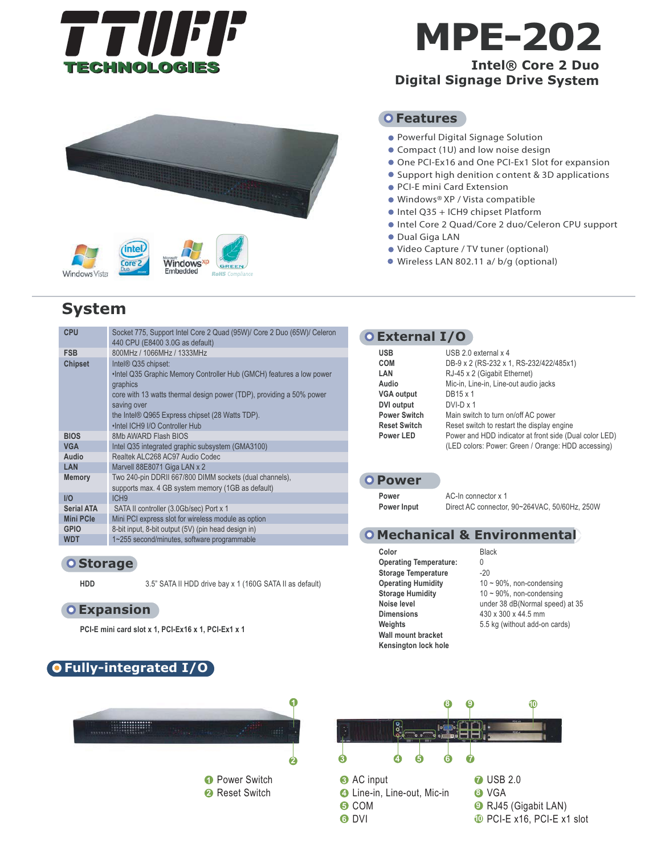

# **MPE-202**

## **Intel® Core 2 Duo Digital Signage Drive System**



# **System**

| <b>CPU</b>        | Socket 775, Support Intel Core 2 Quad (95W)/ Core 2 Duo (65W)/ Celeron<br>440 CPU (E8400 3.0G as default)                                                                                                                                                                            |
|-------------------|--------------------------------------------------------------------------------------------------------------------------------------------------------------------------------------------------------------------------------------------------------------------------------------|
| <b>FSB</b>        | 800MHz / 1066MHz / 1333MHz                                                                                                                                                                                                                                                           |
| <b>Chipset</b>    | Intel® Q35 chipset:<br>. Intel Q35 Graphic Memory Controller Hub (GMCH) features a low power<br>graphics<br>core with 13 watts thermal design power (TDP), providing a 50% power<br>saving over<br>the Intel® Q965 Express chipset (28 Watts TDP).<br>.Intel ICH9 I/O Controller Hub |
| <b>BIOS</b>       | 8Mb AWARD Flash BIOS                                                                                                                                                                                                                                                                 |
| <b>VGA</b>        | Intel Q35 integrated graphic subsystem (GMA3100)                                                                                                                                                                                                                                     |
| Audio             | Realtek ALC268 AC97 Audio Codec                                                                                                                                                                                                                                                      |
| LAN               | Marvell 88E8071 Giga LAN x 2                                                                                                                                                                                                                                                         |
| <b>Memory</b>     | Two 240-pin DDRII 667/800 DIMM sockets (dual channels),<br>supports max. 4 GB system memory (1GB as default)                                                                                                                                                                         |
| I/O               | ICH <sub>9</sub>                                                                                                                                                                                                                                                                     |
| <b>Serial ATA</b> | SATA II controller (3.0Gb/sec) Port x 1                                                                                                                                                                                                                                              |
| <b>Mini PCIe</b>  | Mini PCI express slot for wireless module as option                                                                                                                                                                                                                                  |
| <b>GPIO</b>       | 8-bit input, 8-bit output (5V) (pin head design in)                                                                                                                                                                                                                                  |
| <b>WDT</b>        | 1~255 second/minutes, software programmable                                                                                                                                                                                                                                          |
|                   |                                                                                                                                                                                                                                                                                      |

#### **O** Storage

**HDD** 3.5" SATA II HDD drive bay x 1 (160G SATA II as default)

#### **Expansion**

**PCI-E mini card slot x 1, PCI-Ex16 x 1, PCI-Ex1 x 1** 

## **Fully-integrated I/O**



**1** Power Switch **2** Reset Switch

#### **O** Features

- Powerful Digital Signage Solution
- Compact (1U) and low noise design
- One PCI-Ex16 and One PCI-Ex1 Slot for expansion
- Support high denition content & 3D applications
- PCI-E mini Card Extension
- Windows<sup>®</sup> XP / Vista compatible
- Intel Q35 + ICH9 chipset Platform
- Intel Core 2 Quad/Core 2 duo/Celeron CPU support
- Dual Giga LAN
- Video Capture / TV tuner (optional)
- Wireless LAN 802.11 a/ b/g (optional)

#### **External I/O**

| USB                 | USB 2.0 external $x$ 4                                                                                       |
|---------------------|--------------------------------------------------------------------------------------------------------------|
| COM                 | DB-9 x 2 (RS-232 x 1, RS-232/422/485x1)                                                                      |
| LAN                 | RJ-45 x 2 (Gigabit Ethernet)                                                                                 |
| Audio               | Mic-in, Line-in, Line-out audio jacks                                                                        |
| VGA output          | DB15 x 1                                                                                                     |
| DVI output          | $DVI-D \times 1$                                                                                             |
| <b>Power Switch</b> | Main switch to turn on/off AC power                                                                          |
| <b>Reset Switch</b> | Reset switch to restart the display engine                                                                   |
| Power LED           | Power and HDD indicator at front side (Dual color LED)<br>(LED colors: Power: Green / Orange: HDD accessing) |

#### **O** Power

**Power Power Input**  AC-In connector x 1 Direct AC connector, 90~264VAC, 50/60Hz, 250W

### **Mechanical & Environmental**

- **Color Operating Temperature: Storage Temperature Operating Humidity Storage Humidity Noise level Dimensions Weights Wall mount bracket Kensington lock hole**
- Black 0 -20 10 ~ 90%, non-condensing 10 ~ 90%, non-condensing under 38 dB(Normal speed) at 35 430 x 300 x 44.5 mm 5.5 kg (without add-on cards)



**3** AC input

DVI **6**

- Line-in, Line-out, Mic-in **4** COM **5**
- VGA **8** RJ45 (Gigabit LAN) **9** PCI-E x16, PCI-E x1 slot **10**

**7** USB 2.0